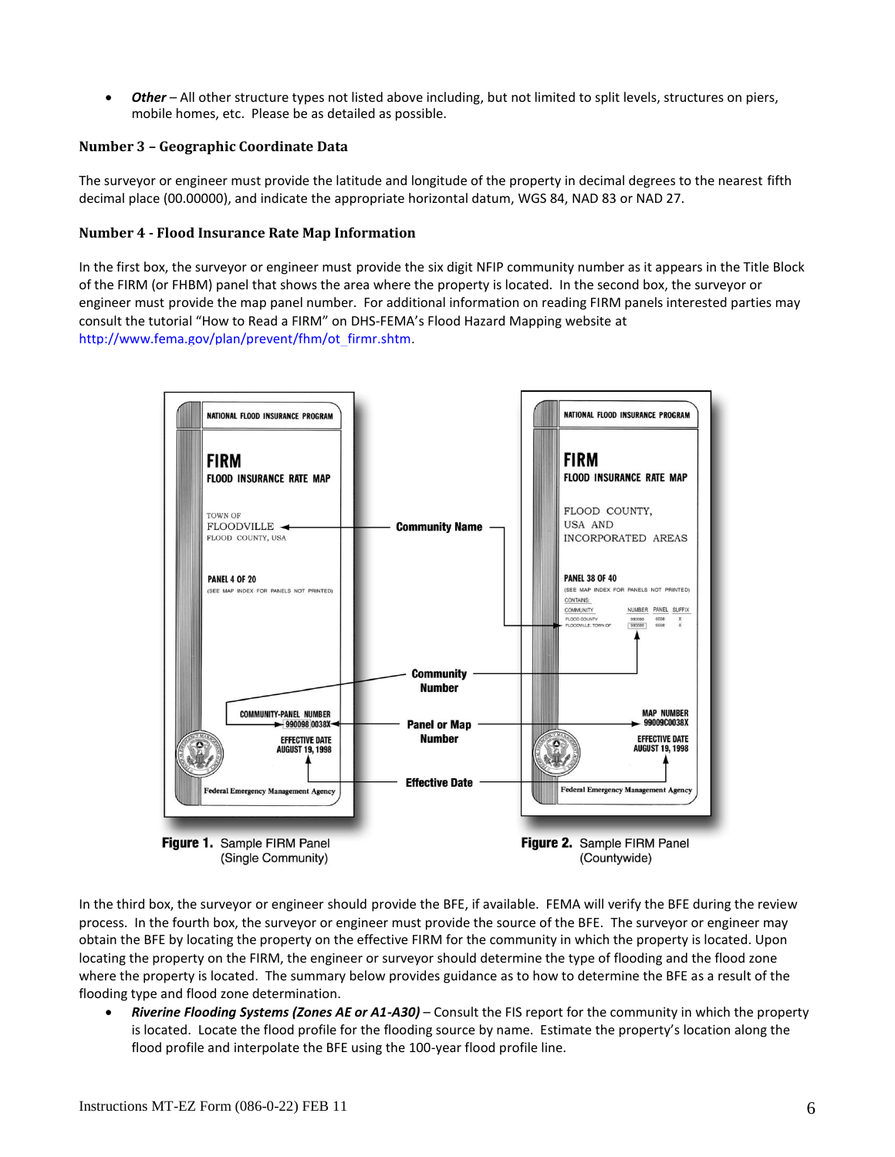### **APPLICATION FORM FOR SINGLE RESIDENTIAL STRUCTURE OR LOT AMENDMENTS TO NATIONAL FLOOD INSURANCE PROGRAM MAPS**

## **General Background Information**

In 1968, the U.S. Congress passed the National Flood Insurance Act, which created the National Flood Insurance Program (NFIP). The NFIP was designed to reduce future flood losses through the adoption of local floodplain management regulations and to provide protection for property owners against potential losses through an insurance mechanism that allows a premium to be paid for the protection of those who need it most. The creation of the NFIP represented a major shift in Federal strategy from previous structural flood-control and disaster relief programs.

As part of the agreement for making flood insurance available in a community, the NFIP requires the community to adopt floodplain management ordinances that meet certain minimum requirements intended to reduce future flood losses. The community official or agency responsible for floodplain management in a community may be able to provide information that would be useful to a requester. This official or agency usually is responsible for engineering, public works, flood control, or planning in the community as well.

## **Use of Application Forms**

The Department of Homeland Security's Federal Emergency Management Agency (DHS-FEMA) implemented the use of application forms for requesting revisions or amendments to NFIP maps for two reasons. First, the forms provide requesters with a comprehensive, step-by-step process to follow. This process provides the requester with assurance that all necessary information to support their request is being submitted to DHS-FEMA at one time, thus avoiding the need to go through an iterative process of providing additional information in a piecemeal fashion, which can result in a timeconsuming and cost-intensive process. Second, use of the forms assures that the requesters' submissions are complete and more logically structured, and generally allows DHS-FEMA to complete its review in a shorter timeframe.

This form should be used to request that DHS-FEMA remove a single structure or a legally recorded parcel of land or a portion of a parcel, described by metes and bounds, certified by a Registered Professional Engineer or Licensed Land Surveyor, from a designated Special Flood Hazard Area (SFHA), an area that would be inundated by the flood having a 1 percent-annual-chance of being equaled or exceeded in any given year (base flood), via Letter of Map Amendment (LOMA). A LOMA is a letter from DHS-FEMA stating that an **existing** structure or parcel of land that has not been elevated by fill (i.e. the existing structure or parcel of land is on natural grade) would not be inundated by the base flood. Fill is defined as material from any source (including the subject property) placed that raises the ground to or above the Base Flood Elevation (BFE). The common construction practice of removing unsuitable existing material (topsoil) and backfilling with select structural material is not considered the placement of fill if the practice does not alter the existing (natural ground) elevation, which is at or above the BFE. **Fill placed before the date of the first NFIP map showing the area in an SFHA is considered natural ground.** You may consult with the community map repository or the community official or agency responsible for floodplain management to obtain previous editions of the NFIP map. In addition, digital copies of historic maps may be available on DHS-FEMA's Map Service Center (MSC), for a nominal fee. To place orders from the MSC, interested parties may visit the MSC website at [http://www.msc.fema.gov.](http://www.msc.fema.gov/) For additional information regarding historic maps, interested parties may contact the DHS-FEMA Map Information eXchange (FMIX) toll free, at 1-877-FEMA MAP (1- 877-336-2627).

The MT-EZ form shall not be used for requests submitted by developers, for requests involving multiple structures or lots, for property in alluvial fan areas, for property located within the regulatory floodway, for requests involving the placement of fill, or for conditional requests—for such requests, requesters should use the MT-1 or MT-2 application forms, as appropriate. The MT-1 and MT-2 forms packages may be downloaded from the DHS-FEMA Flood Hazard Mapping website at. [http://www.fema.gov/plan/prevent/fhm/frm\\_form.shtm.](http://www.fema.gov/plan/prevent/fhm/frm_form.shtm)

A faster alternative to using the MT-EZ application is eLOMA. eLOMA is a web-based application that provides licensed land surveyors and professional engineers a system to submit simple LOMA requests to FEMA. Most requests that qualify for the MT-EZ application can be submitted to FEMA using eLOMA. You can find additional information about eLOMA at [https://hazards.fema.gov.](https://hazards.fema.gov/)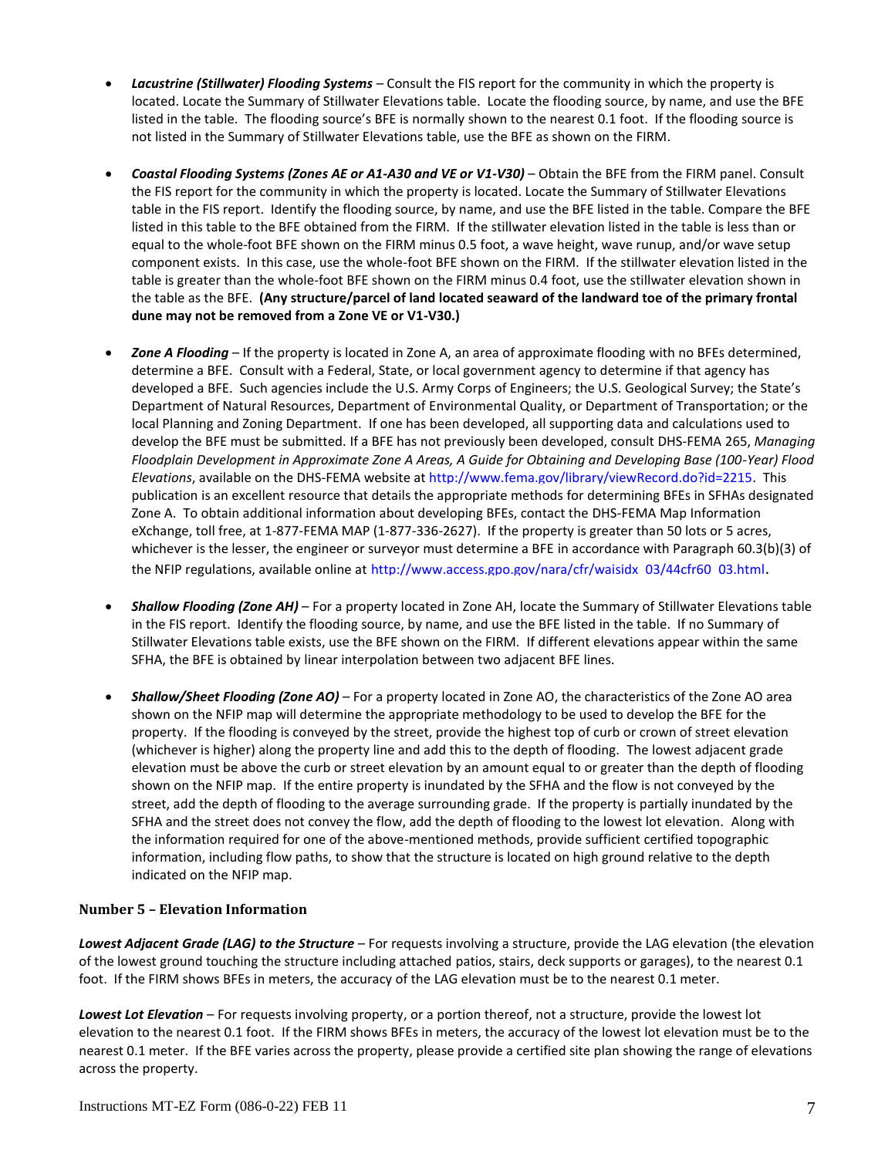For additional assistance in completing this form, interested parties may consult the LOMA Tutorial, available on DHS-FEMA's Flood Hazard Mapping website at: [http://www.fema.gov/plan/prevent/fhm/ot\\_lmreq.shtm.](http://www.fema.gov/plan/prevent/fhm/ot_lmreq.shtm) This tutorial provides guidance to LOMA requesters, as well as an online tool to complete the MT-EZ form.

## **Data Submission Requirements**

In accordance with NFIP regulations, DHS-FEMA will use the information provided in the MT-EZ form to determine whether property (i.e., structure, parcel of land) should be removed from a designated SFHA. In certain instances, additional data not referenced on the MT-EZ form may be required. A DHS-FEMA representative will notify the requester of any additional data requirements.

DHS-FEMA encourages the submission of the required data in digital format (e.g. scanned documents on a CD). This may help expedite the processing of your request.

# **Applicable Regulations**

The regulations pertaining to LOMAs are presented in Title 44, Chapter I, Code of Federal Regulations (CFR), Part 70, which are available at http://www.access.gpo.gov/nara/cfr/waisidx 03/44cfr70 03.html. The purpose of Part 70 is to provide an administrative procedure whereby DHS-FEMA will review information submitted by an owner or lessee of property who believes that their property has been inadvertently included in a designated SFHA. Part 70 provides information about the technical difficulty of accurately delineating the SFHA boundaries on the NFIP map for a community. Part 70 procedures shall not apply if the topography has been altered to raise the original ground to or above the BFE since the effective date of the first NFIP map [i.e., a Flood Insurance Rate Map (FIRM) or Flood Hazard Boundary Map (FHBM)] showing the property to be within the SFHA.

## **Basis of Determination**

If no fill has been placed, DHS-FEMA's determination as to whether a structure or legally recorded parcel of land, or a portion of a parcel, described by metes and bounds, may be removed from the SFHA will be based on a comparison of the BFE with certain elevation information. The elevation information required will depend on whether a structure or a legally recorded parcel of land is to be removed from the SFHA. For LOMA requests involving property located in Zone A, with no BFEs determined, interested parties should refer to DHS-FEMA-265, *Managing Floodplain Development in Approximate Zone A Areas, A Guide for Obtaining and Developing Base (100-Year) Flood Elevations*, available on DHS-FEMA's website at [http://www.fema.gov/library/viewRecord.do?id=2215.](http://www.fema.gov/library/viewRecord.do?id=2215) 

The following special considerations may affect DHS-FEMA's determination:

- In areas of shallow/sheet flooding (Zone AO), the elevation of the Lowest Adjacent Grade (including deck posts) of the structure(s) must be above the surrounding grade by an amount equal to or greater than the depth shown on the NFIP map. In addition, adequate drainage paths are required to guide floodwaters around and away from the structure(s); the structure(s) should be on an elevated pad within the Zone AO area. With your application package, in addition to elevation information regarding the structure(s), provide a map showing the topographic data of the property and the immediate surrounding area, and the location of any structure(s) existing on the property (certified by a registered professional engineer or licensed land surveyor) to demonstrate that the above criteria have been met.
- If the lowest floor of a building has been elevated on posts, piers, or pilings above the BFE and any portion of the structure (i.e., posts, pilings, or piers) is still below the BFE, the building will not be removed from the SFHA.

## **Response Timeframe**

In accordance with Section 70.4 of the NFIP regulations, DHS-FEMA will notify the requester of the determination in writing within 60 days of the date of receipt of all required data. Information about the status of active LOMA requests and other Letter of Map Change (LOMC) requests is available from DHS-FEMA's Mapping Information Platform (MIP) at [https://hazards.fema.gov.](https://hazards.fema.gov/) The MIP allows requesters to search Open LOMCs by entering their Project (Case) Number and Project Type to find out the status of their request. From the MIP Home Page requesters should click on Tools & Links,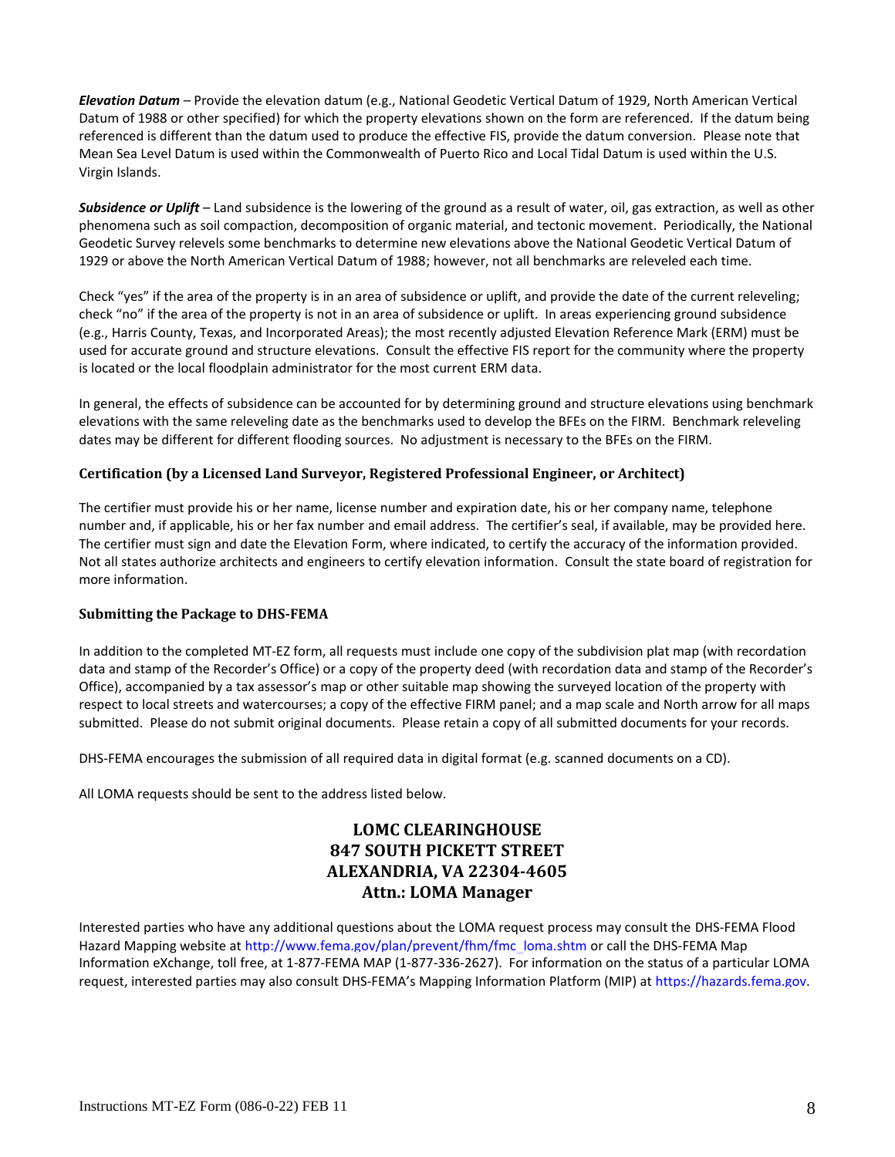Public Reports and select Public Reports from the Report Category dropdown. Information about the status of LOMA requests and other Letter of Map Change (LOMC) requests is also available from DHS-FEMA's Flood Hazard Mapping web site at [http://www.fema.gov/plan/prevent/fhm/st\\_main.shtm.](http://www.fema.gov/plan/prevent/fhm/st_main.shtm) The FHM site allows requesters to search LOMCs by entering their Project (Case) Number or Community Name.

As mentioned previously, submitting the MT-EZ form and required supporting documents in digital format may help expedite the processing of your request.

## **Effect on Insurance Purchase Requirements**

Although DHS-FEMA may issue a LOMA removing a structure from the SFHA, it is the lending institution's prerogative to require flood insurance, as a condition of a loan, if it deems such action appropriate. Historically, about 25% of all flood claims occur in areas outside of the SFHA. Property owners are strongly encouraged to convert their existing policy, using the premiums already paid for that policy, to a lower-cost Preferred Risk Policy (PRP), which is available for structures located outside of the SFHA. For more information about the PRP, contact your agent or broker or visit [http://www.floodsmart.gov/prp.](http://www.floodsmart.gov/prp)

If the lender agrees to waive the flood insurance purchase requirement, the property owner is eligible for a full refund of the premium paid for the current policy year, provided that no claim is pending or has been paid on the policy in question during the same policy year. If the property owner has been required to renew his or her policy during a period when a revised NFIP map was being printed, the premium will be refunded for an additional year. To initiate processing of the refund and/or converting that policy to a lower-cost PRP to maintain coverage without interruption, the property owner should provide the LOMA and evidence of the waiver of the flood insurance requirement from the lender to the insurance agent or broker who sold the policy.

## **General Instructions – Section A**

The property owner, a Licensed Land Surveyor, or a Registered Professional Engineer may complete Section A to support a request for a LOMA for a single structure or lot.

Before completing Section A, the requester must obtain one of the following documents from the County/Parish Clerk, Recorder, or Register of Deeds for the community:

- A copy of the Deed for the property, showing the recordation information (e.g., Book/Volume and Page numbers or Document/Instrument number) containing the recorder's seal and recordation date, accompanied by a tax assessor's or other suitable map showing the surveyed location of the property relative to local streets and watercourses. The map should include at least one street intersection that is shown on the FIRM panel.
- A copy of the Plat Map for the property, showing the recordation information (e.g., Book/Volume and Page numbers or Document/Instrument number) and containing the recorder's seal and recordation date.

The requester must also obtain a photocopy of the effective FIRM panel (including the Title Block) that shows the area in which the property is located. This map should be available at the community map repository or from the community official or agency responsible for floodplain management. However, digital copies of the FIRM Index and FIRM panels may be ordered from the DHS-FEMA Map Service Center (MSC), for a nominal fee. To place orders from the MSC, interested parties may visit the MSC website a[t http://www.msc.fema.gov.](http://www.msc.fema.gov/) A FIRMette, which can be printed free of charge from the MSC website, may be submitted in lieu of a photocopy of the FIRM. (For some communities, the effective NFIP map may be a Flood Hazard Boundary Map (FHBM), not a FIRM. In such cases, the requester should obtain and use the FHBM.)

The DHS-FEMA Map Service Center allows requesters to search for maps and other technical data. Requesters can search by the three following search options: Catalog, Map Search, and Quick Order. The Catalog option allows requesters to search through the DHS-FEMA Map Service Center for all available data. The Map Search option allows requesters to search for data available for an individually specified map area. The Quick Order option allows requesters to search and order available data (digital only) by specific FIRM panel or by state, county, or community identification number. All search options will allow requesters to search desired data and add that data to a "shopping cart" for later payment options. Payment must be in the form of a credit card. Only Visa, MasterCard, and American Express are accepted.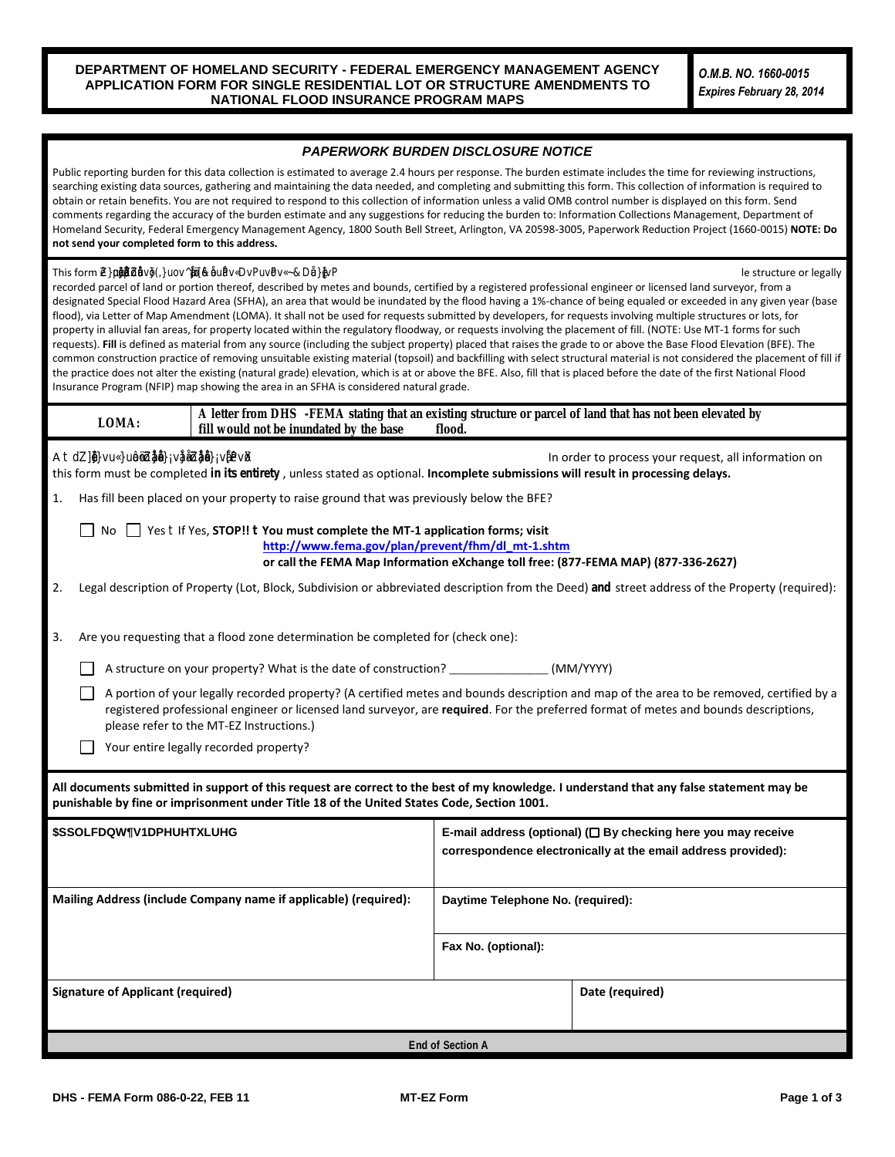Requesters without Internet access should contact the FMIX by calling 1-877-FEMA MAP (1-877-336-2627). Requesters also may fax their map order requests to the MSC at 1-800-358-9620.

### **Specific Instructions – Section A**

### **Number 1 - Fill Placement**

Regardless of the type of LOMC being requested, the requester must clearly state, to the best of his or her knowledge, whether fill has been placed on the property. The requester must answer "yes" or "no" to this question. (See "Use of Application Forms" for additional information about fill.) If fill has been placed on the property, the requester must submit a request for a Letter of Map Revision Based on Fill (LOMR-F) using the MT-1 application forms so that DHS-FEMA may determine whether the structure or property should be removed from the SFHA. To obtain a copy of the MT-1 application forms package, interested parties should visit DHS-FEMA's Flood Hazard Mapping website at [http://www.fema.gov/plan/prevent/fhm/dl\\_mt-1.shtm](http://www.fema.gov/plan/prevent/fhm/dl_mt-1.shtm) or call the DHS-FEMA Map Information eXchange, toll free, at 1-877-FEMA MAP (1-877-336-2627).

#### **Number 2 - Legal Description of Property**

The requester must describe the property by referring to the recorded deed or plat map. The description may consist of a lot number and subdivision name, a parcel number, a tract number, or any other information provided in the deed or plat to identify the property. It is not necessary to reproduce a lengthy description of the property as it appears in the Deed. In addition, the requester should enter the street address (911 type) for the property, if one is available.

#### **Number 3 - Structure or Property That Is Subject of Request**

DHS-FEMA will make a LOMA determination for a structure or a parcel of land. The requester must select the one for which they would like DHS-FEMA to make a determination. If the request is for a structure, the requester must provide the date of construction in this section. Date of construction information usually may be obtained from real estate settlement documents, the property developer, or the local government office where real estate and/or land development transactions are recorded. If the request is for a portion of a parcel, a certified metes and bounds description and map of the area to be removed, certified by a licensed land surveyor or registered professional engineer, are **required.** The metes and bounds description must cover the specific area to be removed, and it must be tied to an identifiable starting point. If the description is for a legally recorded lot or parcel, the metes and bounds description should commence or begin at the lot or parcel corner. Metes and bounds descriptions must not intersect or coincide with the footprint of an existing structure. Please see the example below for the preferred format of metes and bounds descriptions.

BEGINNING at the northeast lot corner; thence S16°42'22"E, 100.00 feet; thence S33°14'40"W, 145.92 feet; thence S89°13'29"W, 156.01 feet; thence N16°42'22"W, 223.14 feet; thence 210.49 feet along a curve to the left having a radius of 542.00 feet to the POINT OF BEGINNING

DHS-FEMA encourages the submission of metes and bounds descriptions in digital format on a CD. This may help expedite the processing of your request.

#### **Signature**

The requester must provide his or her name, mailing address, and telephone number in the space provided. The requester also must sign and date, where indicated, to certify the accuracy of the information provided in Section A of the form. A Licensed Land Surveyor, Registered Professional Engineer, or other designated agent may sign this form for the requester when submitting on behalf of the requester. Providing an email address is optional, however, providing one will make it easier for DHS-FEMA to contact you if necessary and may facilitate the processing of your request.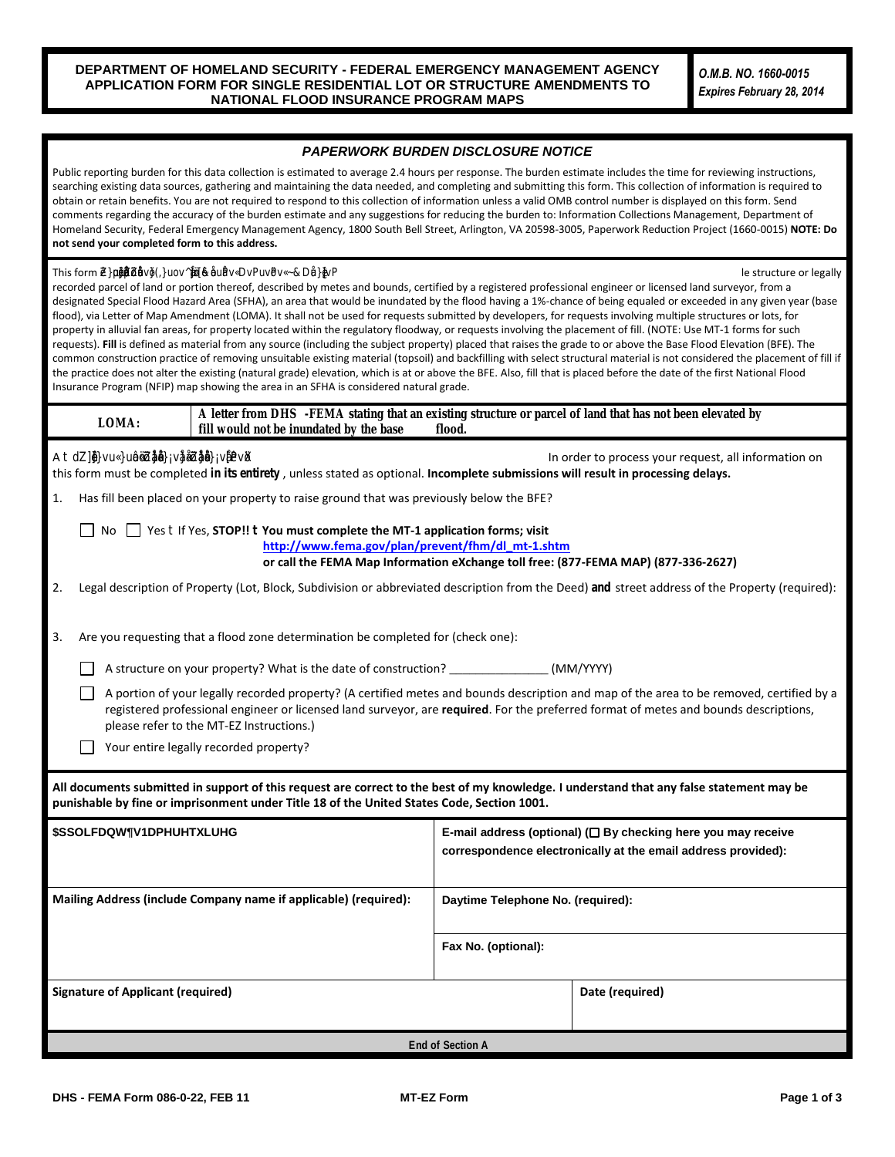## **General Instructions – Section B**

A Licensed Land Surveyor or Registered Professional Engineer (authorized by law to certify the information requested) must complete Section B unless an NFIP Elevation Certificate has already been completed for the property. If the request is to remove the structure, and an Elevation Certificate has been completed, the Elevation Certificate may be submitted in lieu of Section B of the MT-EZ form. If the request is to remove the entire legally recorded property, the lowest lot elevation must be provided in Section B. If the request is to remove a portion of the legally recorded property, the lowest elevation within the described portion must be provided in Section B.

Before completing Section B, the surveyor or engineer must obtain the effective FIRM panel, effective Flood Boundary and Floodway Map (FBFM) panel (if printed), and Flood Insurance Study (FIS) report that cover the area in which the property is located. These can be obtained from the community map repository, or digital copies ordered from the MSC for a nominal fee. To place map orders from the MSC online, the engineer or surveyor should visi[t http://www.msc.fema.gov.](http://www.msc.fema.gov/) (For some communities, the effective NFIP map may be an FHBM), not a FIRM. In such cases, the engineer or surveyor should obtain and use the FHBM.)

The DHS-FEMA Map Service Center allows users, including homeowners, surveyors, and engineers, to search for maps and other technical data. Searches can be conducted under the three following search options: Catalog, Map Search, and Quick Order. The Catalog option allows surveyors and engineers to search through the Map Service Center for all available data. The Map Search option allows surveyors and engineers to search for data available for an individually specified map area. The Quick Order option allows surveyors and engineers to search available data by a specific FIRM panel or by state, county, or community identification number. All search options will allow surveyors and engineers to search desired data and add that data to a "shopping cart" for later payment options. Payment must be in the form of a credit card. Only Visa, MasterCard, and American Express are accepted.

Surveyors and engineers who do not have Internet access should contact the FMIX by calling 1-877-FEMA MAP (1-877-336- 2627). They also may fax their map order requests to the MSC at 1-800-358-9620.

## **Specific Instructions – Section B**

### **Determination Requested For**

The surveyor or engineer must identify what is to be removed from the SFHA. The surveyor or engineer must provide the required elevation information as described on the form.

### **Number 1 – Property Information**

The surveyor or engineer must provide a brief description of the property by referring to the recorded deed or plat map. The description may consist of a lot number and subdivision name, a parcel number, a tract number, or any other information provided in the deed or plat to identify the property. It is not necessary to reproduce a lengthy description of the property as it appears in the Deed.

### **Number 2 - Structure Information**

The surveyor or engineer must provide the street address for the property (911 type), if one is available, or the name of road providing access.

If the request involves or will involve a structure, the surveyor or engineer must provide the type of construction.

- *Crawl Space* The bottom floor is below the first floor, is enclosed by solid and partial perimeter walls, and may be above ground level (grade) on one or more sides. Spaces below ground level on all sides must meet the requirements of FEMA Technical Bulletin 11-01. Spaces with a bottom floor elevation more than 2.0 feet below the Lowest Adjacent Exterior Grade (LAG) elevation will be classified as a basement.
- *Slab on Grade* The bottom floor is at or above ground level (grade) on at least one side.
- *Basement/Enclosure* The bottom floor (basement or underground garage) is below ground level (grade) on all sides. See Crawl Space above.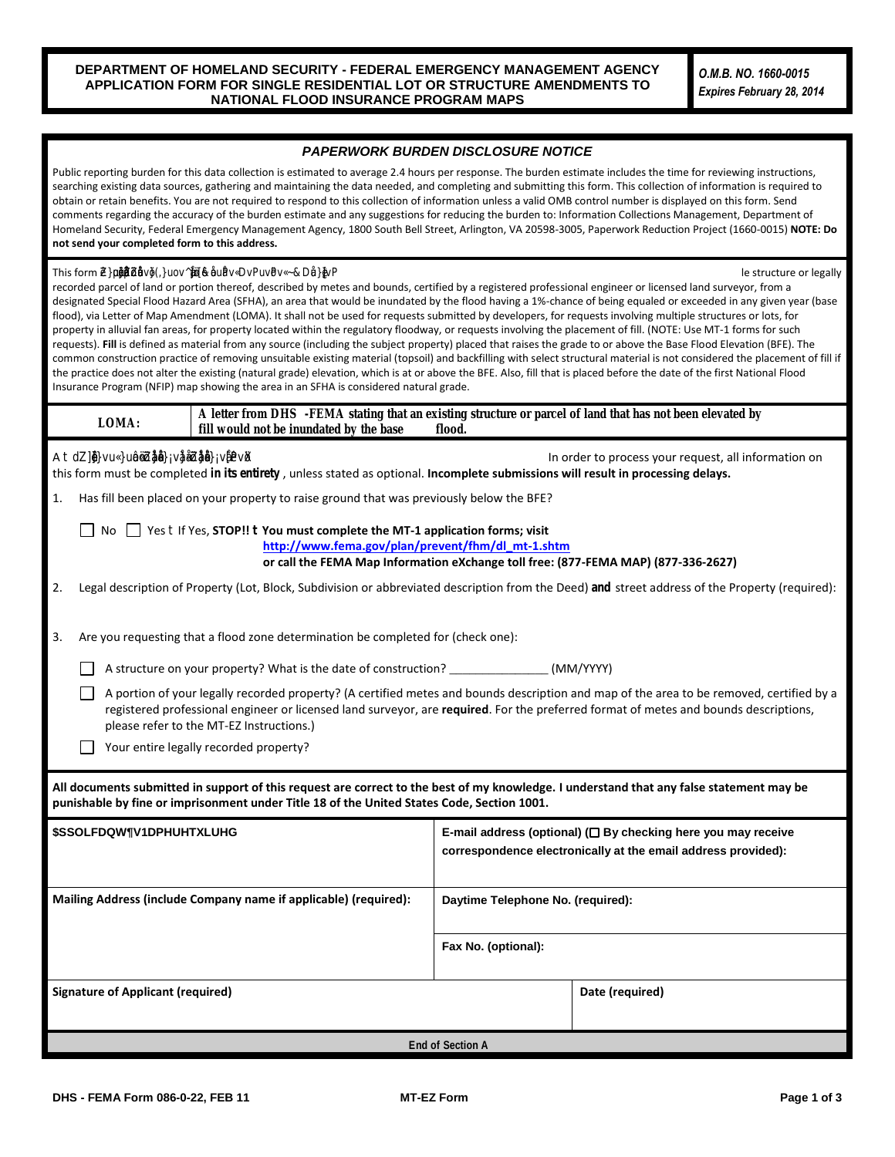*Other* – All other structure types not listed above including, but not limited to split levels, structures on piers, mobile homes, etc. Please be as detailed as possible.

### **Number 3 – Geographic Coordinate Data**

The surveyor or engineer must provide the latitude and longitude of the property in decimal degrees to the nearest fifth decimal place (00.00000), and indicate the appropriate horizontal datum, WGS 84, NAD 83 or NAD 27.

#### **Number 4 - Flood Insurance Rate Map Information**

In the first box, the surveyor or engineer must provide the six digit NFIP community number as it appears in the Title Block of the FIRM (or FHBM) panel that shows the area where the property is located. In the second box, the surveyor or engineer must provide the map panel number. For additional information on reading FIRM panels interested parties may consult the tutorial "How to Read a FIRM" on DHS-FEMA's Flood Hazard Mapping website at [http://www.fema.gov/plan/prevent/fhm/ot\\_firmr.shtm.](http://www.fema.gov/plan/prevent/fhm/ot_firmr.shtm)



In the third box, the surveyor or engineer should provide the BFE, if available. FEMA will verify the BFE during the review process. In the fourth box, the surveyor or engineer must provide the source of the BFE. The surveyor or engineer may obtain the BFE by locating the property on the effective FIRM for the community in which the property is located. Upon locating the property on the FIRM, the engineer or surveyor should determine the type of flooding and the flood zone where the property is located. The summary below provides guidance as to how to determine the BFE as a result of the flooding type and flood zone determination.

 *Riverine Flooding Systems (Zones AE or A1-A30)* – Consult the FIS report for the community in which the property is located. Locate the flood profile for the flooding source by name. Estimate the property's location along the flood profile and interpolate the BFE using the 100-year flood profile line.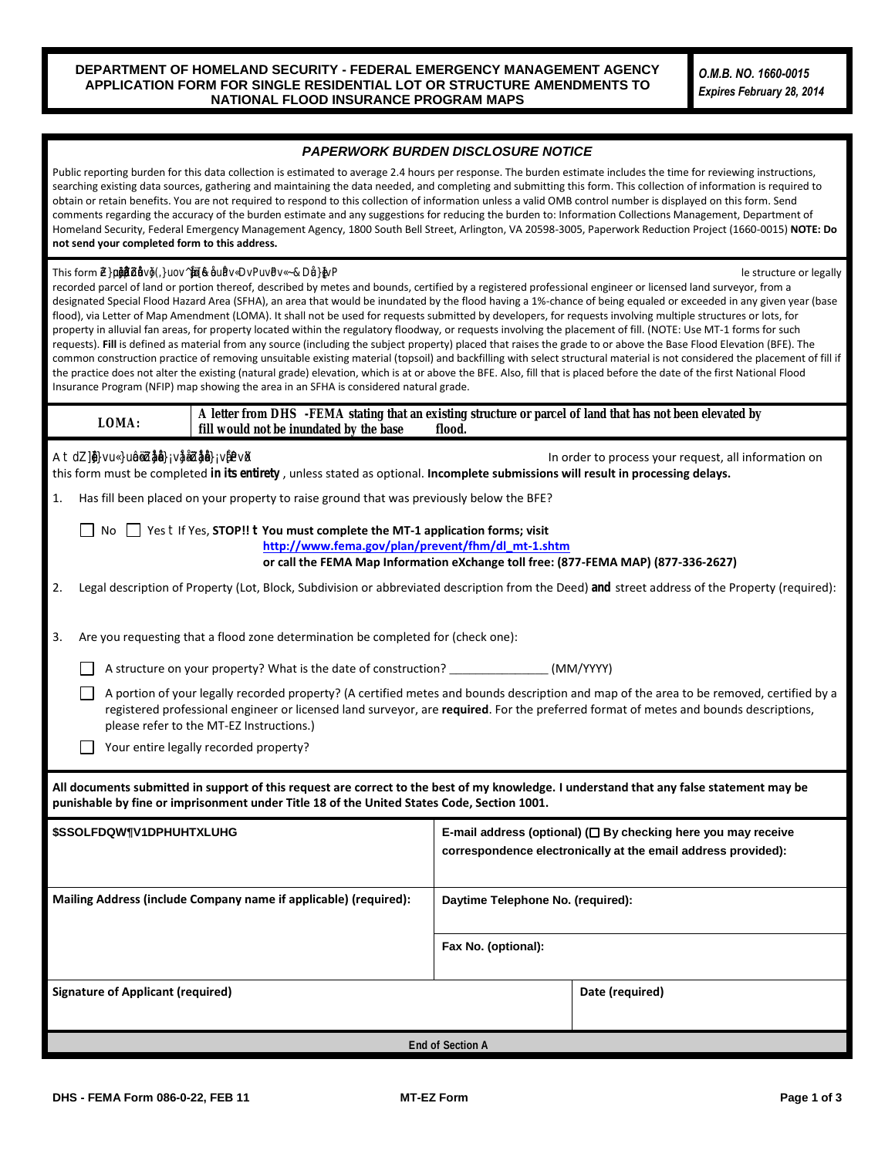- *Lacustrine (Stillwater) Flooding Systems* Consult the FIS report for the community in which the property is located. Locate the Summary of Stillwater Elevations table. Locate the flooding source, by name, and use the BFE listed in the table. The flooding source's BFE is normally shown to the nearest 0.1 foot. If the flooding source is not listed in the Summary of Stillwater Elevations table, use the BFE as shown on the FIRM.
- *Coastal Flooding Systems (Zones AE or A1-A30 and VE or V1-V30)* Obtain the BFE from the FIRM panel. Consult the FIS report for the community in which the property is located. Locate the Summary of Stillwater Elevations table in the FIS report. Identify the flooding source, by name, and use the BFE listed in the table. Compare the BFE listed in this table to the BFE obtained from the FIRM. If the stillwater elevation listed in the table is less than or equal to the whole-foot BFE shown on the FIRM minus 0.5 foot, a wave height, wave runup, and/or wave setup component exists. In this case, use the whole-foot BFE shown on the FIRM. If the stillwater elevation listed in the table is greater than the whole-foot BFE shown on the FIRM minus 0.4 foot, use the stillwater elevation shown in the table as the BFE. **(Any structure/parcel of land located seaward of the landward toe of the primary frontal dune may not be removed from a Zone VE or V1-V30.)**
- *Zone A Flooding* If the property is located in Zone A, an area of approximate flooding with no BFEs determined, determine a BFE. Consult with a Federal, State, or local government agency to determine if that agency has developed a BFE. Such agencies include the U.S. Army Corps of Engineers; the U.S. Geological Survey; the State's Department of Natural Resources, Department of Environmental Quality, or Department of Transportation; or the local Planning and Zoning Department. If one has been developed, all supporting data and calculations used to develop the BFE must be submitted. If a BFE has not previously been developed, consult DHS-FEMA 265, *Managing Floodplain Development in Approximate Zone A Areas, A Guide for Obtaining and Developing Base (100-Year) Flood Elevations*, available on the DHS-FEMA website at [http://www.fema.gov/library/viewRecord.do?id=2215.](http://www.fema.gov/library/viewRecord.do?id=2215) This publication is an excellent resource that details the appropriate methods for determining BFEs in SFHAs designated Zone A. To obtain additional information about developing BFEs, contact the DHS-FEMA Map Information eXchange, toll free, at 1-877-FEMA MAP (1-877-336-2627). If the property is greater than 50 lots or 5 acres, whichever is the lesser, the engineer or surveyor must determine a BFE in accordance with Paragraph 60.3(b)(3) of the NFIP regulations, available online at [http://www.access.gpo.gov/nara/cfr/waisidx\\_03/44cfr60\\_03.html](http://www.access.gpo.gov/nara/cfr/waisidx_03/44cfr60_03.html).
- *Shallow Flooding (Zone AH)* For a property located in Zone AH, locate the Summary of Stillwater Elevations table in the FIS report. Identify the flooding source, by name, and use the BFE listed in the table. If no Summary of Stillwater Elevations table exists, use the BFE shown on the FIRM. If different elevations appear within the same SFHA, the BFE is obtained by linear interpolation between two adjacent BFE lines.
- *Shallow/Sheet Flooding (Zone AO)* For a property located in Zone AO, the characteristics of the Zone AO area shown on the NFIP map will determine the appropriate methodology to be used to develop the BFE for the property. If the flooding is conveyed by the street, provide the highest top of curb or crown of street elevation (whichever is higher) along the property line and add this to the depth of flooding. The lowest adjacent grade elevation must be above the curb or street elevation by an amount equal to or greater than the depth of flooding shown on the NFIP map. If the entire property is inundated by the SFHA and the flow is not conveyed by the street, add the depth of flooding to the average surrounding grade. If the property is partially inundated by the SFHA and the street does not convey the flow, add the depth of flooding to the lowest lot elevation. Along with the information required for one of the above-mentioned methods, provide sufficient certified topographic information, including flow paths, to show that the structure is located on high ground relative to the depth indicated on the NFIP map.

### **Number 5 – Elevation Information**

**Lowest Adjacent Grade (LAG) to the Structure** – For requests involving a structure, provide the LAG elevation (the elevation of the lowest ground touching the structure including attached patios, stairs, deck supports or garages), to the nearest 0.1 foot. If the FIRM shows BFEs in meters, the accuracy of the LAG elevation must be to the nearest 0.1 meter.

*Lowest Lot Elevation* – For requests involving property, or a portion thereof, not a structure, provide the lowest lot elevation to the nearest 0.1 foot. If the FIRM shows BFEs in meters, the accuracy of the lowest lot elevation must be to the nearest 0.1 meter. If the BFE varies across the property, please provide a certified site plan showing the range of elevations across the property.